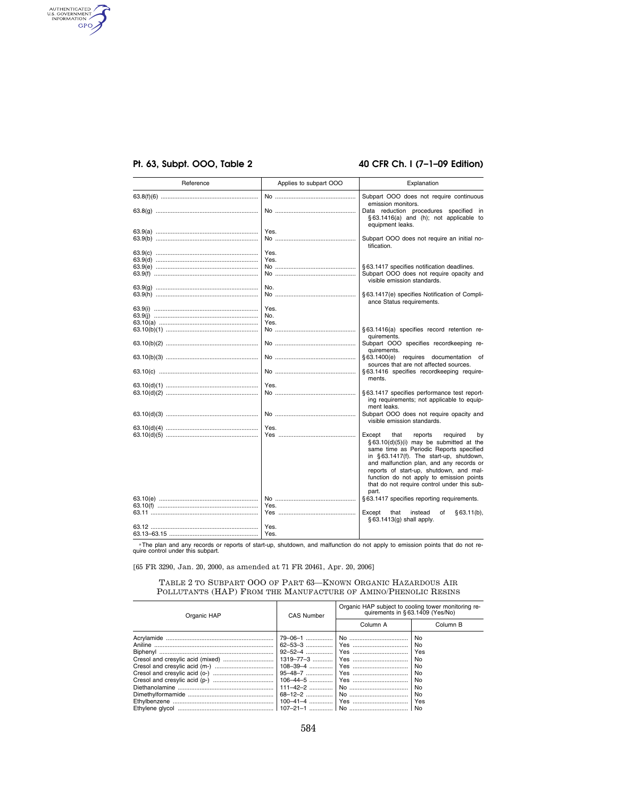# **Pt. 63, Subpt. OOO, Table 2 40 CFR Ch. I (7–1–09 Edition)**

authenticated<br>u.s. government<br>information<br>GPO

| Reference | Applies to subpart OOO | Explanation                                                                                                                                                                                                                                                                                                                                                             |
|-----------|------------------------|-------------------------------------------------------------------------------------------------------------------------------------------------------------------------------------------------------------------------------------------------------------------------------------------------------------------------------------------------------------------------|
|           |                        | Subpart OOO does not require continuous<br>emission monitors.                                                                                                                                                                                                                                                                                                           |
|           |                        | Data reduction procedures specified in<br>§63.1416(a) and (h); not applicable to<br>equipment leaks.                                                                                                                                                                                                                                                                    |
|           | Yes.                   |                                                                                                                                                                                                                                                                                                                                                                         |
|           |                        | Subpart OOO does not require an initial no-<br>tification.                                                                                                                                                                                                                                                                                                              |
|           | Yes.                   |                                                                                                                                                                                                                                                                                                                                                                         |
|           | Yes.                   |                                                                                                                                                                                                                                                                                                                                                                         |
|           |                        | § 63.1417 specifies notification deadlines.                                                                                                                                                                                                                                                                                                                             |
|           |                        | Subpart OOO does not require opacity and<br>visible emission standards.                                                                                                                                                                                                                                                                                                 |
|           | No.                    |                                                                                                                                                                                                                                                                                                                                                                         |
|           |                        | § 63.1417(e) specifies Notification of Compli-<br>ance Status requirements.                                                                                                                                                                                                                                                                                             |
|           | Yes.                   |                                                                                                                                                                                                                                                                                                                                                                         |
|           | No.                    |                                                                                                                                                                                                                                                                                                                                                                         |
|           | Yes.                   |                                                                                                                                                                                                                                                                                                                                                                         |
|           |                        | §63.1416(a) specifies record retention re-<br>quirements.                                                                                                                                                                                                                                                                                                               |
|           |                        | Subpart OOO specifies recordkeeping re-<br>quirements.                                                                                                                                                                                                                                                                                                                  |
|           |                        | §63.1400(e) requires documentation of<br>sources that are not affected sources.                                                                                                                                                                                                                                                                                         |
|           |                        | §63.1416 specifies recordkeeping require-<br>ments.                                                                                                                                                                                                                                                                                                                     |
|           | Yes.                   |                                                                                                                                                                                                                                                                                                                                                                         |
|           |                        | §63.1417 specifies performance test report-                                                                                                                                                                                                                                                                                                                             |
|           |                        | ing requirements; not applicable to equip-<br>ment leaks.                                                                                                                                                                                                                                                                                                               |
|           |                        | Subpart OOO does not require opacity and<br>visible emission standards.                                                                                                                                                                                                                                                                                                 |
|           | Yes.                   |                                                                                                                                                                                                                                                                                                                                                                         |
|           |                        | Except<br>required<br>that<br>reports<br>bv<br>§63.10(d)(5)(i) may be submitted at the<br>same time as Periodic Reports specified<br>in §63.1417(f). The start-up, shutdown,<br>and malfunction plan, and any records or<br>reports of start-up, shutdown, and mal-<br>function do not apply to emission points<br>that do not require control under this sub-<br>part. |
|           |                        | §63.1417 specifies reporting requirements.                                                                                                                                                                                                                                                                                                                              |
|           | Yes.                   |                                                                                                                                                                                                                                                                                                                                                                         |
|           |                        | Except<br>that<br>instead<br>of<br>$§63.11(b)$ ,<br>§ 63.1413(g) shall apply.                                                                                                                                                                                                                                                                                           |
|           | Yes.                   |                                                                                                                                                                                                                                                                                                                                                                         |
|           | Yes.                   |                                                                                                                                                                                                                                                                                                                                                                         |

aThe plan and any records or reports of start-up, shutdown, and malfunction do not apply to emission points that do not re-quire control under this subpart.

[65 FR 3290, Jan. 20, 2000, as amended at 71 FR 20461, Apr. 20, 2006]

### TABLE 2 TO SUBPART OOO OF PART 63—KNOWN ORGANIC HAZARDOUS AIR POLLUTANTS (HAP) FROM THE MANUFACTURE OF AMINO/PHENOLIC RESINS

| Organic HAP | <b>CAS Number</b> | Organic HAP subject to cooling tower monitoring re-<br>quirements in §63.1409 (Yes/No) |                |
|-------------|-------------------|----------------------------------------------------------------------------------------|----------------|
|             |                   | Column A                                                                               | Column B       |
|             |                   |                                                                                        | No.            |
|             |                   |                                                                                        | N <sub>o</sub> |
|             |                   |                                                                                        | Yes            |
|             |                   |                                                                                        | No.            |
|             |                   |                                                                                        | N <sub>0</sub> |
|             |                   |                                                                                        | No             |
|             |                   |                                                                                        | N <sub>0</sub> |
|             |                   |                                                                                        | No             |
|             |                   |                                                                                        | N <sub>o</sub> |
|             |                   |                                                                                        | Yes            |
|             |                   |                                                                                        | No             |